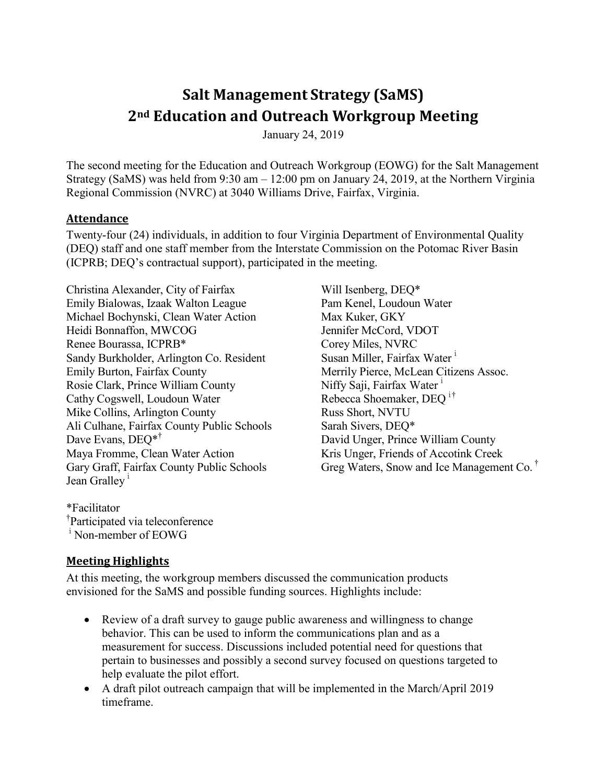# **Salt Management Strategy (SaMS) 2nd Education and Outreach Workgroup Meeting**

January 24, 2019

The second meeting for the Education and Outreach Workgroup (EOWG) for the Salt Management Strategy (SaMS) was held from 9:30 am – 12:00 pm on January 24, 2019, at the Northern Virginia Regional Commission (NVRC) at 3040 Williams Drive, Fairfax, Virginia.

#### **Attendance**

Twenty-four (24) individuals, in addition to four Virginia Department of Environmental Quality (DEQ) staff and one staff member from the Interstate Commission on the Potomac River Basin (ICPRB; DEQ's contractual support), participated in the meeting.

Christina Alexander, City of Fairfax Emily Bialowas, Izaak Walton League Michael Bochynski, Clean Water Action Heidi Bonnaffon, MWCOG Renee Bourassa, ICPRB\* Sandy Burkholder, Arlington Co. Resident Emily Burton, Fairfax County Rosie Clark, Prince William County Cathy Cogswell, Loudoun Water Mike Collins, Arlington County Ali Culhane, Fairfax County Public Schools Dave Evans, DEO<sup>\*†</sup> Maya Fromme, Clean Water Action Gary Graff, Fairfax County Public Schools Jean Gralley<sup>1</sup>

Will Isenberg, DEQ\* Pam Kenel, Loudoun Water Max Kuker, GKY Jennifer McCord, VDOT Corey Miles, NVRC Susan Miller, Fairfax Water<sup>1</sup> Merrily Pierce, McLean Citizens Assoc. Niffy Saji, Fairfax Water<sup>1</sup> Rebecca Shoemaker, DEQ<sup>ⅰ</sup>† Russ Short, NVTU Sarah Sivers, DEQ\* David Unger, Prince William County Kris Unger, Friends of Accotink Creek Greg Waters, Snow and Ice Management Co. †

\*Facilitator † Participated via teleconference <sup>i</sup> Non-member of EOWG

#### **Meeting Highlights**

At this meeting, the workgroup members discussed the communication products envisioned for the SaMS and possible funding sources. Highlights include:

- Review of a draft survey to gauge public awareness and willingness to change behavior. This can be used to inform the communications plan and as a measurement for success. Discussions included potential need for questions that pertain to businesses and possibly a second survey focused on questions targeted to help evaluate the pilot effort.
- A draft pilot outreach campaign that will be implemented in the March/April 2019 timeframe.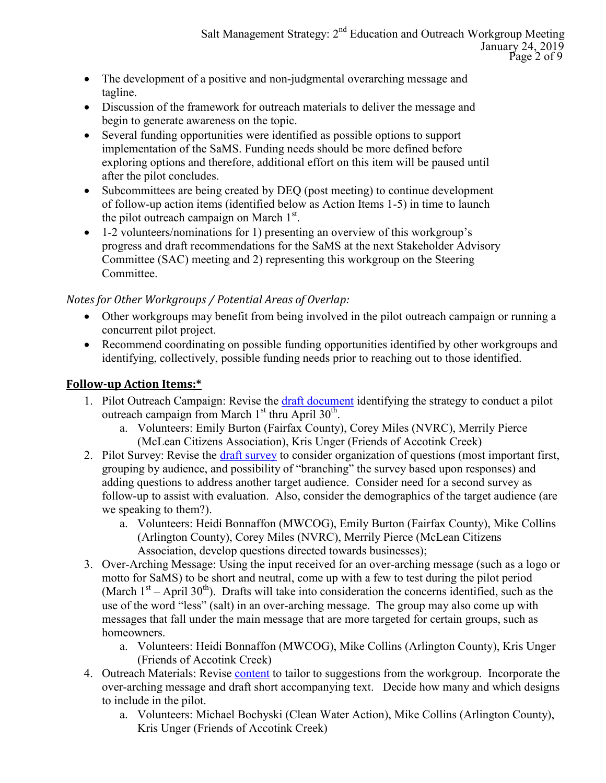- The development of a positive and non-judgmental overarching message and tagline.
- Discussion of the framework for outreach materials to deliver the message and begin to generate awareness on the topic.
- Several funding opportunities were identified as possible options to support implementation of the SaMS. Funding needs should be more defined before exploring options and therefore, additional effort on this item will be paused until after the pilot concludes.
- Subcommittees are being created by DEQ (post meeting) to continue development of follow-up action items (identified below as Action Items 1-5) in time to launch the pilot outreach campaign on March  $1<sup>st</sup>$ .
- 1-2 volunteers/nominations for 1) presenting an overview of this workgroup's progress and draft recommendations for the SaMS at the next Stakeholder Advisory Committee (SAC) meeting and 2) representing this workgroup on the Steering Committee.

#### *Notes for Other Workgroups / Potential Areas of Overlap:*

- Other workgroups may benefit from being involved in the pilot outreach campaign or running a concurrent pilot project.
- Recommend coordinating on possible funding opportunities identified by other workgroups and identifying, collectively, possible funding needs prior to reaching out to those identified.

#### **Follow-up Action Items:\***

- 1. Pilot Outreach Campaign: Revise the [draft document](https://www.deq.virginia.gov/Portals/0/DEQ/Water/TMDL/SaMS/MeetingMaterials/EandOwg/Meeting2/SaMS_EOWG_ActionItem-2-DraftPilotCommsPlan_20190124.pdf) identifying the strategy to conduct a pilot outreach campaign from March  $1<sup>st</sup>$  thru April  $30<sup>th</sup>$ .
	- a. Volunteers: Emily Burton (Fairfax County), Corey Miles (NVRC), Merrily Pierce (McLean Citizens Association), Kris Unger (Friends of Accotink Creek)
- 2. Pilot Survey: Revise the [draft survey](https://www.deq.virginia.gov/Portals/0/DEQ/Water/TMDL/SaMS/MeetingMaterials/EandOwg/Meeting2/SaMS_EOWG_ActionItem-3-SurveyQuestions_20190124.pdf) to consider organization of questions (most important first, grouping by audience, and possibility of "branching" the survey based upon responses) and adding questions to address another target audience. Consider need for a second survey as follow-up to assist with evaluation. Also, consider the demographics of the target audience (are we speaking to them?).
	- a. Volunteers: Heidi Bonnaffon (MWCOG), Emily Burton (Fairfax County), Mike Collins (Arlington County), Corey Miles (NVRC), Merrily Pierce (McLean Citizens Association, develop questions directed towards businesses);
- 3. Over-Arching Message: Using the input received for an over-arching message (such as a logo or motto for SaMS) to be short and neutral, come up with a few to test during the pilot period (March  $1<sup>st</sup>$  – April 30<sup>th</sup>). Drafts will take into consideration the concerns identified, such as the use of the word "less" (salt) in an over-arching message. The group may also come up with messages that fall under the main message that are more targeted for certain groups, such as homeowners.
	- a. Volunteers: Heidi Bonnaffon (MWCOG), Mike Collins (Arlington County), Kris Unger (Friends of Accotink Creek)
- 4. Outreach Materials: Revise *content* to tailor to suggestions from the workgroup. Incorporate the over-arching message and draft short accompanying text. Decide how many and which designs to include in the pilot.
	- a. Volunteers: Michael Bochyski (Clean Water Action), Mike Collins (Arlington County), Kris Unger (Friends of Accotink Creek)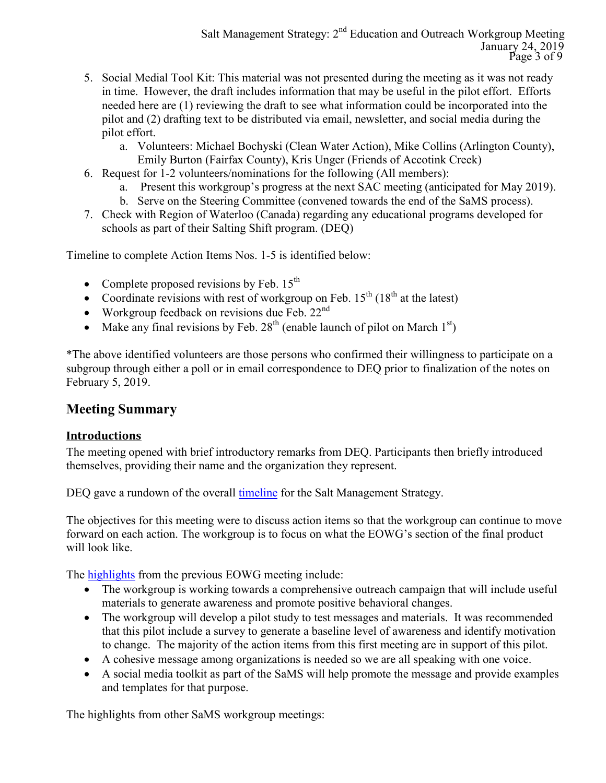- 5. Social Medial Tool Kit: This material was not presented during the meeting as it was not ready in time. However, the draft includes information that may be useful in the pilot effort. Efforts needed here are (1) reviewing the draft to see what information could be incorporated into the pilot and (2) drafting text to be distributed via email, newsletter, and social media during the pilot effort.
	- a. Volunteers: Michael Bochyski (Clean Water Action), Mike Collins (Arlington County), Emily Burton (Fairfax County), Kris Unger (Friends of Accotink Creek)
- 6. Request for 1-2 volunteers/nominations for the following (All members):
	- a. Present this workgroup's progress at the next SAC meeting (anticipated for May 2019).
	- b. Serve on the Steering Committee (convened towards the end of the SaMS process).
- 7. Check with Region of Waterloo (Canada) regarding any educational programs developed for schools as part of their Salting Shift program. (DEQ)

Timeline to complete Action Items Nos. 1-5 is identified below:

- Complete proposed revisions by Feb.  $15^{th}$
- Coordinate revisions with rest of workgroup on Feb.  $15^{th}$  ( $18^{th}$  at the latest)
- Workgroup feedback on revisions due Feb.  $22<sup>nd</sup>$
- Make any final revisions by Feb.  $28<sup>th</sup>$  (enable launch of pilot on March  $1<sup>st</sup>$ )

\*The above identified volunteers are those persons who confirmed their willingness to participate on a subgroup through either a poll or in email correspondence to DEQ prior to finalization of the notes on February 5, 2019.

# **Meeting Summary**

## **Introductions**

The meeting opened with brief introductory remarks from DEQ. Participants then briefly introduced themselves, providing their name and the organization they represent.

DEQ gave a rundown of the overall [timeline](https://www.deq.virginia.gov/Portals/0/DEQ/Water/TMDL/SaMS/SaMS_Timeline.pdf) for the Salt Management Strategy.

The objectives for this meeting were to discuss action items so that the workgroup can continue to move forward on each action. The workgroup is to focus on what the EOWG's section of the final product will look like.

The **highlights** from the previous EOWG meeting include:

- The workgroup is working towards a comprehensive outreach campaign that will include useful materials to generate awareness and promote positive behavioral changes.
- The workgroup will develop a pilot study to test messages and materials. It was recommended that this pilot include a survey to generate a baseline level of awareness and identify motivation to change. The majority of the action items from this first meeting are in support of this pilot.
- A cohesive message among organizations is needed so we are all speaking with one voice.
- A social media toolkit as part of the SaMS will help promote the message and provide examples and templates for that purpose.

The highlights from other SaMS workgroup meetings: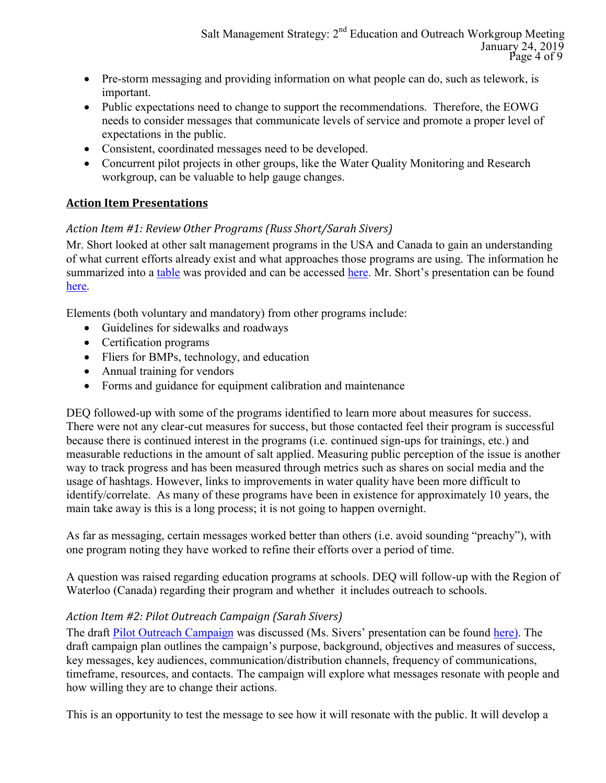- Pre-storm messaging and providing information on what people can do, such as telework, is important.
- Public expectations need to change to support the recommendations. Therefore, the EOWG needs to consider messages that communicate levels of service and promote a proper level of expectations in the public.
- Consistent, coordinated messages need to be developed.
- Concurrent pilot projects in other groups, like the Water Quality Monitoring and Research workgroup, can be valuable to help gauge changes.

## **Action Item Presentations**

#### *Action Item #1: Review Other Programs (Russ Short/Sarah Sivers)*

Mr. Short looked at other salt management programs in the USA and Canada to gain an understanding of what current efforts already exist and what approaches those programs are using. The information he summarized into a [table](https://www.deq.virginia.gov/Portals/0/DEQ/Water/TMDL/SaMS/MeetingMaterials/EandOwg/Meeting2/SaMS_EOWG_ActionItem-1-ProgramsSummary_20190124.pdf) was provided and can be accessed [here.](https://www.deq.virginia.gov/Portals/0/DEQ/Water/TMDL/SaMS/MeetingMaterials/EandOwg/Meeting2/SaMS_EOWG_ActionItem-1-ProgramsSummary_20190124.pdf) Mr. Short's presentation can be found [here.](https://www.deq.virginia.gov/Portals/0/DEQ/Water/TMDL/SaMS/MeetingMaterials/EandOwg/Meeting2/SaMS_EOWG_ActionItem-1-ProgramsSummaryPres_20190124.pdf)

Elements (both voluntary and mandatory) from other programs include:

- Guidelines for sidewalks and roadways
- Certification programs
- Fliers for BMPs, technology, and education
- Annual training for vendors
- Forms and guidance for equipment calibration and maintenance

DEQ followed-up with some of the programs identified to learn more about measures for success. There were not any clear-cut measures for success, but those contacted feel their program is successful because there is continued interest in the programs (i.e. continued sign-ups for trainings, etc.) and measurable reductions in the amount of salt applied. Measuring public perception of the issue is another way to track progress and has been measured through metrics such as shares on social media and the usage of hashtags. However, links to improvements in water quality have been more difficult to identify/correlate. As many of these programs have been in existence for approximately 10 years, the main take away is this is a long process; it is not going to happen overnight.

As far as messaging, certain messages worked better than others (i.e. avoid sounding "preachy"), with one program noting they have worked to refine their efforts over a period of time.

A question was raised regarding education programs at schools. DEQ will follow-up with the Region of Waterloo (Canada) regarding their program and whether it includes outreach to schools.

## *Action Item #2: Pilot Outreach Campaign (Sarah Sivers)*

The draft [Pilot Outreach Campaign](https://www.deq.virginia.gov/Portals/0/DEQ/Water/TMDL/SaMS/MeetingMaterials/EandOwg/Meeting2/SaMS_EOWG_ActionItem-2-DraftPilotCommsPlan_20190124.pdf) was discussed (Ms. Sivers' presentation can be found [here\)](https://www.deq.virginia.gov/Portals/0/DEQ/Water/TMDL/SaMS/MeetingMaterials/EandOwg/Meeting2/SaMS_EOWG_ActionItem-3-CampaignOverviewPres_20190124.pdf). The draft campaign plan outlines the campaign's purpose, background, objectives and measures of success, key messages, key audiences, communication/distribution channels, frequency of communications, timeframe, resources, and contacts. The campaign will explore what messages resonate with people and how willing they are to change their actions.

This is an opportunity to test the message to see how it will resonate with the public. It will develop a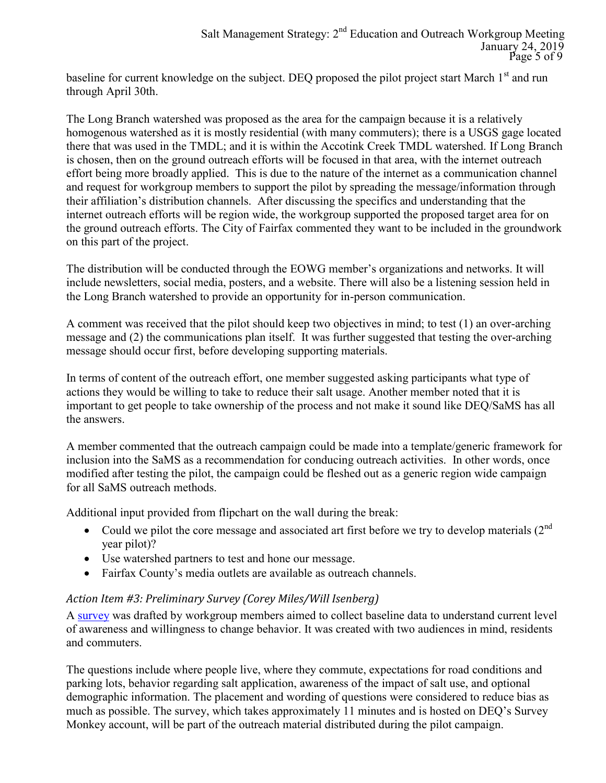baseline for current knowledge on the subject. DEO proposed the pilot project start March 1<sup>st</sup> and run through April 30th.

The Long Branch watershed was proposed as the area for the campaign because it is a relatively homogenous watershed as it is mostly residential (with many commuters); there is a USGS gage located there that was used in the TMDL; and it is within the Accotink Creek TMDL watershed. If Long Branch is chosen, then on the ground outreach efforts will be focused in that area, with the internet outreach effort being more broadly applied. This is due to the nature of the internet as a communication channel and request for workgroup members to support the pilot by spreading the message/information through their affiliation's distribution channels. After discussing the specifics and understanding that the internet outreach efforts will be region wide, the workgroup supported the proposed target area for on the ground outreach efforts. The City of Fairfax commented they want to be included in the groundwork on this part of the project.

The distribution will be conducted through the EOWG member's organizations and networks. It will include newsletters, social media, posters, and a website. There will also be a listening session held in the Long Branch watershed to provide an opportunity for in-person communication.

A comment was received that the pilot should keep two objectives in mind; to test (1) an over-arching message and (2) the communications plan itself. It was further suggested that testing the over-arching message should occur first, before developing supporting materials.

In terms of content of the outreach effort, one member suggested asking participants what type of actions they would be willing to take to reduce their salt usage. Another member noted that it is important to get people to take ownership of the process and not make it sound like DEQ/SaMS has all the answers.

A member commented that the outreach campaign could be made into a template/generic framework for inclusion into the SaMS as a recommendation for conducing outreach activities. In other words, once modified after testing the pilot, the campaign could be fleshed out as a generic region wide campaign for all SaMS outreach methods.

Additional input provided from flipchart on the wall during the break:

- Could we pilot the core message and associated art first before we try to develop materials  $(2^{nd}$ year pilot)?
- Use watershed partners to test and hone our message.
- Fairfax County's media outlets are available as outreach channels.

#### *Action Item #3: Preliminary Survey (Corey Miles/Will Isenberg)*

A [survey](https://www.deq.virginia.gov/Portals/0/DEQ/Water/TMDL/SaMS/MeetingMaterials/EandOwg/Meeting2/SaMS_EOWG_ActionItem-3-SurveyQuestions_20190124.pdf) was drafted by workgroup members aimed to collect baseline data to understand current level of awareness and willingness to change behavior. It was created with two audiences in mind, residents and commuters.

The questions include where people live, where they commute, expectations for road conditions and parking lots, behavior regarding salt application, awareness of the impact of salt use, and optional demographic information. The placement and wording of questions were considered to reduce bias as much as possible. The survey, which takes approximately 11 minutes and is hosted on DEQ's Survey Monkey account, will be part of the outreach material distributed during the pilot campaign.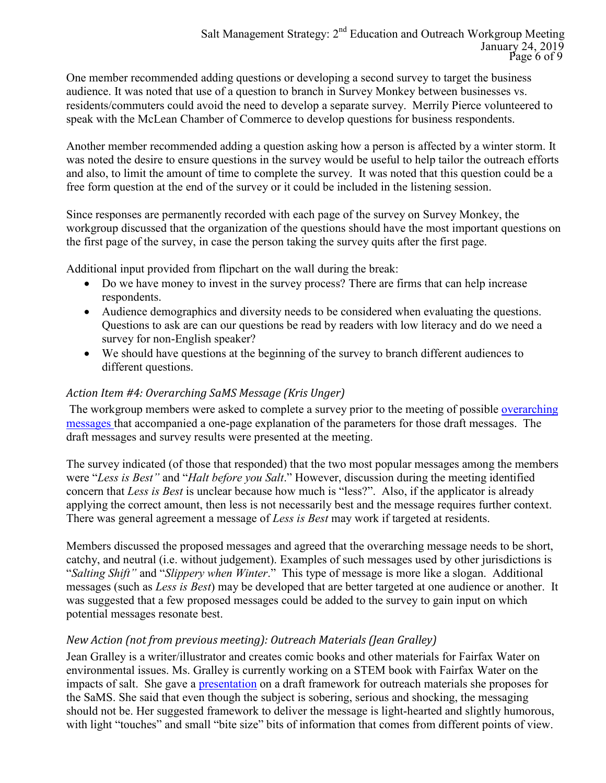One member recommended adding questions or developing a second survey to target the business audience. It was noted that use of a question to branch in Survey Monkey between businesses vs. residents/commuters could avoid the need to develop a separate survey. Merrily Pierce volunteered to speak with the McLean Chamber of Commerce to develop questions for business respondents.

Another member recommended adding a question asking how a person is affected by a winter storm. It was noted the desire to ensure questions in the survey would be useful to help tailor the outreach efforts and also, to limit the amount of time to complete the survey. It was noted that this question could be a free form question at the end of the survey or it could be included in the listening session.

Since responses are permanently recorded with each page of the survey on Survey Monkey, the workgroup discussed that the organization of the questions should have the most important questions on the first page of the survey, in case the person taking the survey quits after the first page.

Additional input provided from flipchart on the wall during the break:

- Do we have money to invest in the survey process? There are firms that can help increase respondents.
- Audience demographics and diversity needs to be considered when evaluating the questions. Questions to ask are can our questions be read by readers with low literacy and do we need a survey for non-English speaker?
- We should have questions at the beginning of the survey to branch different audiences to different questions.

#### *Action Item #4: Overarching SaMS Message (Kris Unger)*

The workgroup members were asked to complete a survey prior to the meeting of possible overarching [messages](https://www.deq.virginia.gov/Portals/0/DEQ/Water/TMDL/SaMS/MeetingMaterials/EandOwg/Meeting2/SaMS_EOWG_ActionItem-4-Messages_20190124.pdf) that accompanied a one-page explanation of the parameters for those draft messages. [The](https://www.deq.virginia.gov/Portals/0/DEQ/Water/TMDL/SaMS/MeetingMaterials/EandOwg/Meeting2/SaMS_EOWG_ActionItem-4-Messages_20190124.pdf)  [draft messages](https://www.deq.virginia.gov/Portals/0/DEQ/Water/TMDL/SaMS/MeetingMaterials/EandOwg/Meeting2/SaMS_EOWG_ActionItem-4-Messages_20190124.pdf) and [survey results](https://www.deq.virginia.gov/Portals/0/DEQ/Water/TMDL/SaMS/MeetingMaterials/EandOwg/Meeting2/SaMS_EOWG_ActionItem-4-SurveyResults_20190124.pdf) were presented at the meeting.

The survey indicated (of those that responded) that the two most popular messages among the members were "*Less is Best"* and "*Halt before you Salt*." However, discussion during the meeting identified concern that *Less is Best* is unclear because how much is "less?". Also, if the applicator is already applying the correct amount, then less is not necessarily best and the message requires further context. There was general agreement a message of *Less is Best* may work if targeted at residents.

Members discussed the proposed messages and agreed that the overarching message needs to be short, catchy, and neutral (i.e. without judgement). Examples of such messages used by other jurisdictions is "*Salting Shift"* and "*Slippery when Winter*." This type of message is more like a slogan. Additional messages (such as *Less is Best*) may be developed that are better targeted at one audience or another. It was suggested that a few proposed messages could be added to the survey to gain input on which potential messages resonate best.

## *New Action (not from previous meeting): Outreach Materials (Jean Gralley)*

Jean Gralley is a writer/illustrator and creates comic books and other materials for Fairfax Water on environmental issues. Ms. Gralley is currently working on a STEM book with Fairfax Water on the impacts of salt. She gave a [presentation](https://www.deq.virginia.gov/Portals/0/DEQ/Water/TMDL/SaMS/MeetingMaterials/EandOwg/Meeting2/SaMS_EOWG_GRALLEY_creativecampaign.pdf) on a draft framework for outreach materials she proposes for the SaMS. She said that even though the subject is sobering, serious and shocking, the messaging should not be. Her suggested framework to deliver the message is light-hearted and slightly humorous, with light "touches" and small "bite size" bits of information that comes from different points of view.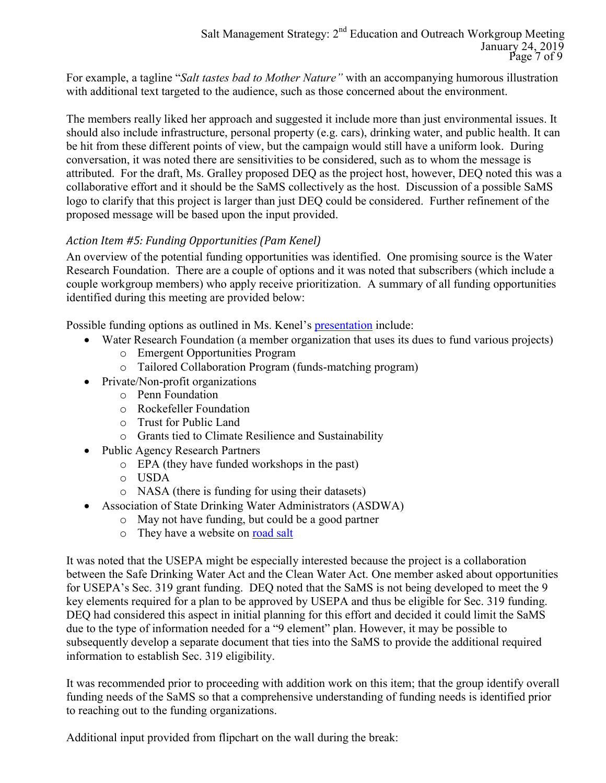For example, a tagline "*Salt tastes bad to Mother Nature"* with an accompanying humorous illustration with additional text targeted to the audience, such as those concerned about the environment.

The members really liked her approach and suggested it include more than just environmental issues. It should also include infrastructure, personal property (e.g. cars), drinking water, and public health. It can be hit from these different points of view, but the campaign would still have a uniform look. During conversation, it was noted there are sensitivities to be considered, such as to whom the message is attributed. For the draft, Ms. Gralley proposed DEQ as the project host, however, DEQ noted this was a collaborative effort and it should be the SaMS collectively as the host. Discussion of a possible SaMS logo to clarify that this project is larger than just DEQ could be considered. Further refinement of the proposed message will be based upon the input provided.

## *Action Item #5: Funding Opportunities (Pam Kenel)*

An overview of the potential funding opportunities was identified. One promising source is the Water Research Foundation. There are a couple of options and it was noted that subscribers (which include a couple workgroup members) who apply receive prioritization. A summary of all funding opportunities identified during this meeting are provided below:

Possible funding options as outlined in Ms. Kenel's **[presentation](https://www.deq.virginia.gov/Portals/0/DEQ/Water/TMDL/SaMS/MeetingMaterials/EandOwg/Meeting2/SaMS_EOWG_ActionItem-5-FundingOpportunities_20190124.pdf)** include:

- Water Research Foundation (a member organization that uses its dues to fund various projects)
	- o Emergent Opportunities Program
	- o Tailored Collaboration Program (funds-matching program)
- Private/Non-profit organizations
	- o Penn Foundation
	- o Rockefeller Foundation
	- o Trust for Public Land
	- o Grants tied to Climate Resilience and Sustainability
- Public Agency Research Partners
	- o EPA (they have funded workshops in the past)
	- o USDA
	- o NASA (there is funding for using their datasets)
- Association of State Drinking Water Administrators (ASDWA)
	- o May not have funding, but could be a good partner
	- o They have a website on [road salt](https://www.asdwa.org/source-water/road-salt/)

It was noted that the USEPA might be especially interested because the project is a collaboration between the Safe Drinking Water Act and the Clean Water Act. One member asked about opportunities for USEPA's Sec. 319 grant funding. DEQ noted that the SaMS is not being developed to meet the 9 key elements required for a plan to be approved by USEPA and thus be eligible for Sec. 319 funding. DEQ had considered this aspect in initial planning for this effort and decided it could limit the SaMS due to the type of information needed for a "9 element" plan. However, it may be possible to subsequently develop a separate document that ties into the SaMS to provide the additional required information to establish Sec. 319 eligibility.

It was recommended prior to proceeding with addition work on this item; that the group identify overall funding needs of the SaMS so that a comprehensive understanding of funding needs is identified prior to reaching out to the funding organizations.

Additional input provided from flipchart on the wall during the break: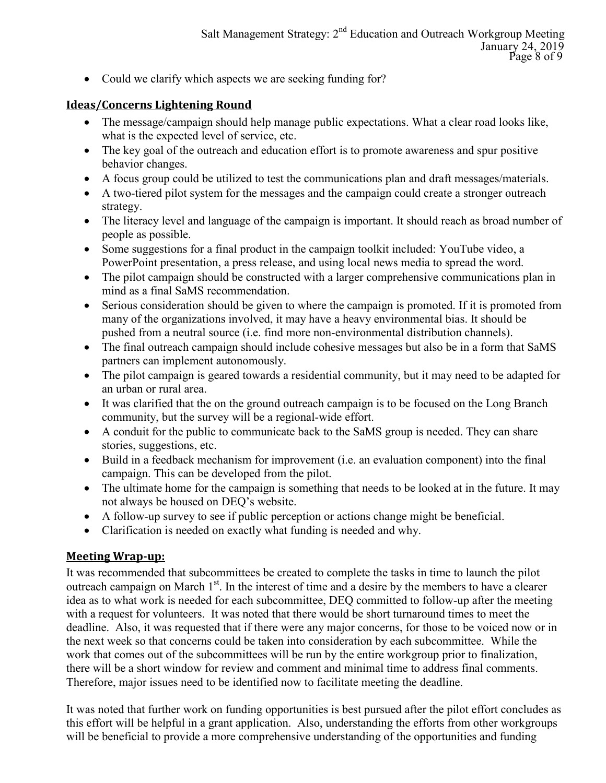• Could we clarify which aspects we are seeking funding for?

#### **Ideas/Concerns Lightening Round**

- The message/campaign should help manage public expectations. What a clear road looks like, what is the expected level of service, etc.
- The key goal of the outreach and education effort is to promote awareness and spur positive behavior changes.
- A focus group could be utilized to test the communications plan and draft messages/materials.
- A two-tiered pilot system for the messages and the campaign could create a stronger outreach strategy.
- The literacy level and language of the campaign is important. It should reach as broad number of people as possible.
- Some suggestions for a final product in the campaign toolkit included: YouTube video, a PowerPoint presentation, a press release, and using local news media to spread the word.
- The pilot campaign should be constructed with a larger comprehensive communications plan in mind as a final SaMS recommendation.
- Serious consideration should be given to where the campaign is promoted. If it is promoted from many of the organizations involved, it may have a heavy environmental bias. It should be pushed from a neutral source (i.e. find more non-environmental distribution channels).
- The final outreach campaign should include cohesive messages but also be in a form that SaMS partners can implement autonomously.
- The pilot campaign is geared towards a residential community, but it may need to be adapted for an urban or rural area.
- It was clarified that the on the ground outreach campaign is to be focused on the Long Branch community, but the survey will be a regional-wide effort.
- A conduit for the public to communicate back to the SaMS group is needed. They can share stories, suggestions, etc.
- Build in a feedback mechanism for improvement (i.e. an evaluation component) into the final campaign. This can be developed from the pilot.
- The ultimate home for the campaign is something that needs to be looked at in the future. It may not always be housed on DEQ's website.
- A follow-up survey to see if public perception or actions change might be beneficial.
- Clarification is needed on exactly what funding is needed and why.

#### **Meeting Wrap-up:**

It was recommended that subcommittees be created to complete the tasks in time to launch the pilot outreach campaign on March 1<sup>st</sup>. In the interest of time and a desire by the members to have a clearer idea as to what work is needed for each subcommittee, DEQ committed to follow-up after the meeting with a request for volunteers. It was noted that there would be short turnaround times to meet the deadline. Also, it was requested that if there were any major concerns, for those to be voiced now or in the next week so that concerns could be taken into consideration by each subcommittee. While the work that comes out of the subcommittees will be run by the entire workgroup prior to finalization, there will be a short window for review and comment and minimal time to address final comments. Therefore, major issues need to be identified now to facilitate meeting the deadline.

It was noted that further work on funding opportunities is best pursued after the pilot effort concludes as this effort will be helpful in a grant application. Also, understanding the efforts from other workgroups will be beneficial to provide a more comprehensive understanding of the opportunities and funding